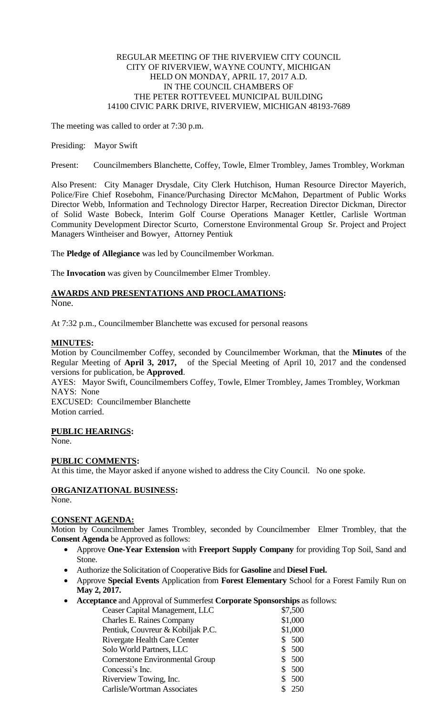### REGULAR MEETING OF THE RIVERVIEW CITY COUNCIL CITY OF RIVERVIEW, WAYNE COUNTY, MICHIGAN HELD ON MONDAY, APRIL 17, 2017 A.D. IN THE COUNCIL CHAMBERS OF THE PETER ROTTEVEEL MUNICIPAL BUILDING 14100 CIVIC PARK DRIVE, RIVERVIEW, MICHIGAN 48193-7689

The meeting was called to order at 7:30 p.m.

### Presiding: Mayor Swift

Present: Councilmembers Blanchette, Coffey, Towle, Elmer Trombley, James Trombley, Workman

Also Present: City Manager Drysdale, City Clerk Hutchison, Human Resource Director Mayerich, Police/Fire Chief Rosebohm, Finance/Purchasing Director McMahon, Department of Public Works Director Webb, Information and Technology Director Harper, Recreation Director Dickman, Director of Solid Waste Bobeck, Interim Golf Course Operations Manager Kettler, Carlisle Wortman Community Development Director Scurto, Cornerstone Environmental Group Sr. Project and Project Managers Wintheiser and Bowyer, Attorney Pentiuk

The **Pledge of Allegiance** was led by Councilmember Workman.

The **Invocation** was given by Councilmember Elmer Trombley.

# **AWARDS AND PRESENTATIONS AND PROCLAMATIONS:**

None.

At 7:32 p.m., Councilmember Blanchette was excused for personal reasons

#### **MINUTES:**

Motion by Councilmember Coffey, seconded by Councilmember Workman, that the **Minutes** of the Regular Meeting of **April 3, 2017,** of the Special Meeting of April 10, 2017 and the condensed versions for publication, be **Approved**.

AYES: Mayor Swift, Councilmembers Coffey, Towle, Elmer Trombley, James Trombley, Workman NAYS: None

EXCUSED: Councilmember Blanchette Motion carried.

# **PUBLIC HEARINGS:**

None.

# **PUBLIC COMMENTS:**

At this time, the Mayor asked if anyone wished to address the City Council. No one spoke.

# **ORGANIZATIONAL BUSINESS:**

None.

# **CONSENT AGENDA:**

Motion by Councilmember James Trombley, seconded by Councilmember Elmer Trombley, that the **Consent Agenda** be Approved as follows:

- Approve **One-Year Extension** with **Freeport Supply Company** for providing Top Soil, Sand and Stone.
- Authorize the Solicitation of Cooperative Bids for **Gasoline** and **Diesel Fuel.**
- Approve **Special Events** Application from **Forest Elementary** School for a Forest Family Run on **May 2, 2017.**
- **Acceptance** and Approval of Summerfest **Corporate Sponsorships** as follows:

| Ceaser Capital Management, LLC    |  | \$7,500 |
|-----------------------------------|--|---------|
| <b>Charles E. Raines Company</b>  |  | \$1,000 |
| Pentiuk, Couvreur & Kobiljak P.C. |  | \$1,000 |
| Rivergate Health Care Center      |  | \$500   |
| Solo World Partners, LLC          |  | \$500   |
| Cornerstone Environmental Group   |  | \$500   |
| Concessi's Inc.                   |  | 500     |
| Riverview Towing, Inc.            |  | 500     |
| Carlisle/Wortman Associates       |  | 250     |
|                                   |  |         |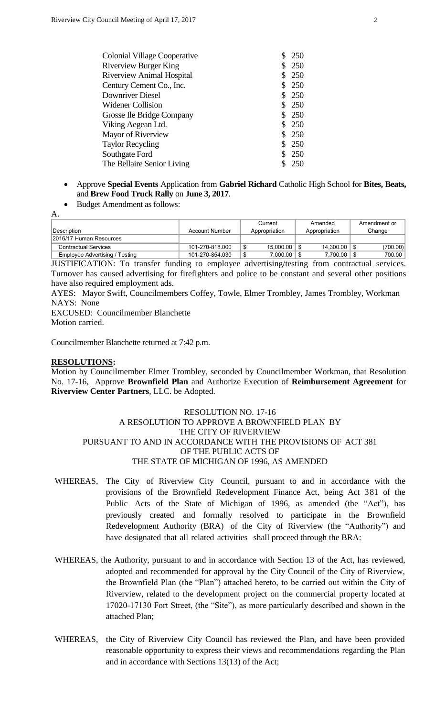| Colonial Village Cooperative     | 250   |
|----------------------------------|-------|
| <b>Riverview Burger King</b>     | \$250 |
| <b>Riverview Animal Hospital</b> | \$250 |
| Century Cement Co., Inc.         | \$250 |
| Downriver Diesel                 | \$250 |
| <b>Widener Collision</b>         | \$250 |
| Grosse Ile Bridge Company        | \$250 |
| Viking Aegean Ltd.               | \$250 |
| Mayor of Riverview               | \$250 |
| <b>Taylor Recycling</b>          | \$250 |
| Southgate Ford                   | \$250 |
| The Bellaire Senior Living       | 250   |
|                                  |       |

- Approve **Special Events** Application from **Gabriel Richard** Catholic High School for **Bites, Beats,**  and **Brew Food Truck Rally** on **June 3, 2017**.
- Budget Amendment as follows:

| ٠ |        |
|---|--------|
|   | $\sim$ |

| Description                    | Account Number  |    | Current<br>Appropriation | Amended<br>Appropriation   | Amendment or<br>Change |
|--------------------------------|-----------------|----|--------------------------|----------------------------|------------------------|
| 2016/17 Human Resources        |                 |    |                          |                            |                        |
| <b>Contractual Services</b>    | 101-270-818.000 | ◡  | 15.000.00                | $14.300.00$ $\parallel$ \$ | (700.00)               |
| Employee Advertising / Testing | 101-270-854.030 | \$ | 7.000.00                 | 7,700.00                   | 700.00                 |

JUSTIFICATION: To transfer funding to employee advertising/testing from contractual services. Turnover has caused advertising for firefighters and police to be constant and several other positions have also required employment ads.

AYES: Mayor Swift, Councilmembers Coffey, Towle, Elmer Trombley, James Trombley, Workman NAYS: None

EXCUSED: Councilmember Blanchette Motion carried.

Councilmember Blanchette returned at 7:42 p.m.

#### **RESOLUTIONS:**

Motion by Councilmember Elmer Trombley, seconded by Councilmember Workman, that Resolution No. 17-16, Approve **Brownfield Plan** and Authorize Execution of **Reimbursement Agreement** for **Riverview Center Partners**, LLC. be Adopted.

#### RESOLUTION NO. 17-16 A RESOLUTION TO APPROVE A BROWNFIELD PLAN BY THE CITY OF RIVERVIEW PURSUANT TO AND IN ACCORDANCE WITH THE PROVISIONS OF ACT 381 OF THE PUBLIC ACTS OF THE STATE OF MICHIGAN OF 1996, AS AMENDED

- WHEREAS, The City of Riverview City Council, pursuant to and in accordance with the provisions of the Brownfield Redevelopment Finance Act, being Act 381 of the Public Acts of the State of Michigan of 1996, as amended (the "Act"), has previously created and formally resolved to participate in the Brownfield Redevelopment Authority (BRA) of the City of Riverview (the "Authority") and have designated that all related activities shall proceed through the BRA:
- WHEREAS, the Authority, pursuant to and in accordance with Section 13 of the Act, has reviewed, adopted and recommended for approval by the City Council of the City of Riverview, the Brownfield Plan (the "Plan") attached hereto, to be carried out within the City of Riverview, related to the development project on the commercial property located at 17020-17130 Fort Street, (the "Site"), as more particularly described and shown in the attached Plan;
- WHEREAS, the City of Riverview City Council has reviewed the Plan, and have been provided reasonable opportunity to express their views and recommendations regarding the Plan and in accordance with Sections 13(13) of the Act;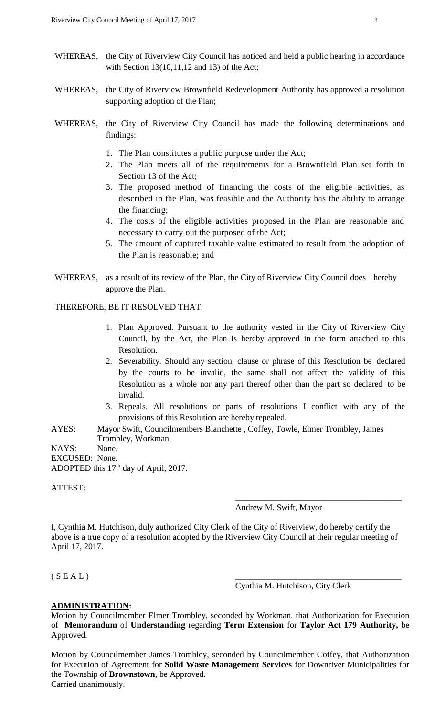- WHEREAS, the City of Riverview City Council has noticed and held a public hearing in accordance with Section 13(10,11,12 and 13) of the Act;
- WHEREAS, the City of Riverview Brownfield Redevelopment Authority has approved a resolution supporting adoption of the Plan;
- WHEREAS, the City of Riverview City Council has made the following determinations and findings:
	- 1. The Plan constitutes a public purpose under the Act;
	- 2. The Plan meets all of the requirements for a Brownfield Plan set forth in Section 13 of the Act;
	- 3. The proposed method of financing the costs of the eligible activities, as described in the Plan, was feasible and the Authority has the ability to arrange the financing;
	- 4. The costs of the eligible activities proposed in the Plan are reasonable and necessary to carry out the purposed of the Act;
	- 5. The amount of captured taxable value estimated to result from the adoption of the Plan is reasonable; and
- WHEREAS, as a result of its review of the Plan, the City of Riverview City Council does hereby approve the Plan.

THEREFORE, BE IT RESOLVED THAT:

- 1. Plan Approved. Pursuant to the authority vested in the City of Riverview City Council, by the Act, the Plan is hereby approved in the form attached to this Resolution.
- 2. Severability. Should any section, clause or phrase of this Resolution be declared by the courts to be invalid, the same shall not affect the validity of this Resolution as a whole nor any part thereof other than the part so declared to be invalid.
- 3. Repeals. All resolutions or parts of resolutions I conflict with any of the provisions of this Resolution are hereby repealed.
- AYES: Mayor Swift, Councilmembers Blanchette , Coffey, Towle, Elmer Trombley, James Trombley, Workman

NAYS: None.

EXCUSED: None. ADOPTED this  $17<sup>th</sup>$  day of April, 2017.

ATTEST:

Andrew M. Swift, Mayor

\_\_\_\_\_\_\_\_\_\_\_\_\_\_\_\_\_\_\_\_\_\_\_\_\_\_\_\_\_\_\_\_\_\_\_\_\_\_\_

I, Cynthia M. Hutchison, duly authorized City Clerk of the City of Riverview, do hereby certify the above is a true copy of a resolution adopted by the Riverview City Council at their regular meeting of April 17, 2017.

 $(S E A L)$ 

Cynthia M. Hutchison, City Clerk

#### **ADMINISTRATION:**

Motion by Councilmember Elmer Trombley, seconded by Workman, that Authorization for Execution of **Memorandum** of **Understanding** regarding **Term Extension** for **Taylor Act 179 Authority,** be Approved.

Motion by Councilmember James Trombley, seconded by Councilmember Coffey, that Authorization for Execution of Agreement for **Solid Waste Management Services** for Downriver Municipalities for the Township of **Brownstown**, be Approved. Carried unanimously.